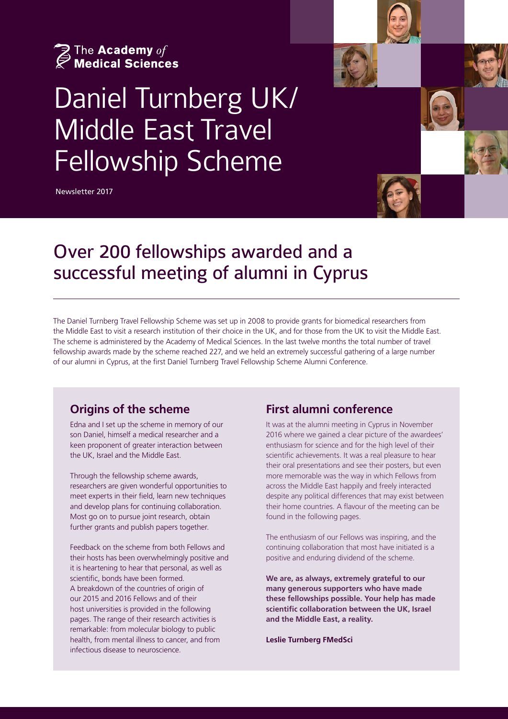

# Daniel Turnberg UK/ Middle East Travel Fellowship Scheme

Newsletter 2017



## Over 200 fellowships awarded and a successful meeting of alumni in Cyprus

The Daniel Turnberg Travel Fellowship Scheme was set up in 2008 to provide grants for biomedical researchers from the Middle East to visit a research institution of their choice in the UK, and for those from the UK to visit the Middle East. The scheme is administered by the Academy of Medical Sciences. In the last twelve months the total number of travel fellowship awards made by the scheme reached 227, and we held an extremely successful gathering of a large number of our alumni in Cyprus, at the first Daniel Turnberg Travel Fellowship Scheme Alumni Conference.

#### **Origins of the scheme**

Edna and I set up the scheme in memory of our son Daniel, himself a medical researcher and a keen proponent of greater interaction between the UK, Israel and the Middle East.

Through the fellowship scheme awards, researchers are given wonderful opportunities to meet experts in their field, learn new techniques and develop plans for continuing collaboration. Most go on to pursue joint research, obtain further grants and publish papers together.

Feedback on the scheme from both Fellows and their hosts has been overwhelmingly positive and it is heartening to hear that personal, as well as scientific, bonds have been formed. A breakdown of the countries of origin of our 2015 and 2016 Fellows and of their host universities is provided in the following pages. The range of their research activities is remarkable: from molecular biology to public health, from mental illness to cancer, and from infectious disease to neuroscience.

#### **First alumni conference**

It was at the alumni meeting in Cyprus in November 2016 where we gained a clear picture of the awardees' enthusiasm for science and for the high level of their scientific achievements. It was a real pleasure to hear their oral presentations and see their posters, but even more memorable was the way in which Fellows from across the Middle East happily and freely interacted despite any political differences that may exist between their home countries. A flavour of the meeting can be found in the following pages.

The enthusiasm of our Fellows was inspiring, and the continuing collaboration that most have initiated is a positive and enduring dividend of the scheme.

**We are, as always, extremely grateful to our many generous supporters who have made these fellowships possible. Your help has made scientific collaboration between the UK, Israel and the Middle East, a reality.**

**Leslie Turnberg FMedSci**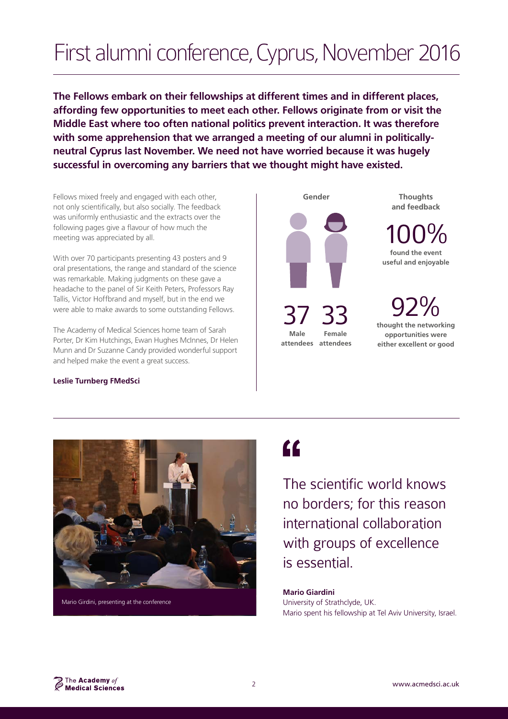# First alumni conference, Cyprus, November 2016

**The Fellows embark on their fellowships at different times and in different places, affording few opportunities to meet each other. Fellows originate from or visit the Middle East where too often national politics prevent interaction. It was therefore with some apprehension that we arranged a meeting of our alumni in politicallyneutral Cyprus last November. We need not have worried because it was hugely successful in overcoming any barriers that we thought might have existed.**

Fellows mixed freely and engaged with each other, not only scientifically, but also socially. The feedback was uniformly enthusiastic and the extracts over the following pages give a flavour of how much the meeting was appreciated by all.

With over 70 participants presenting 43 posters and 9 oral presentations, the range and standard of the science was remarkable. Making judgments on these gave a headache to the panel of Sir Keith Peters, Professors Ray Tallis, Victor Hoffbrand and myself, but in the end we were able to make awards to some outstanding Fellows.

The Academy of Medical Sciences home team of Sarah Porter, Dr Kim Hutchings, Ewan Hughes McInnes, Dr Helen Munn and Dr Suzanne Candy provided wonderful support and helped make the event a great success.

#### **Leslie Turnberg FMedSci**



100% **found the event** 

**useful and enjoyable**

92% **thought the networking opportunities were either excellent or good**



 $\epsilon$ 

The scientific world knows no borders; for this reason international collaboration with groups of excellence is essential.

**Mario Giardini** University of Strathclyde, UK. Mario spent his fellowship at Tel Aviv University, Israel.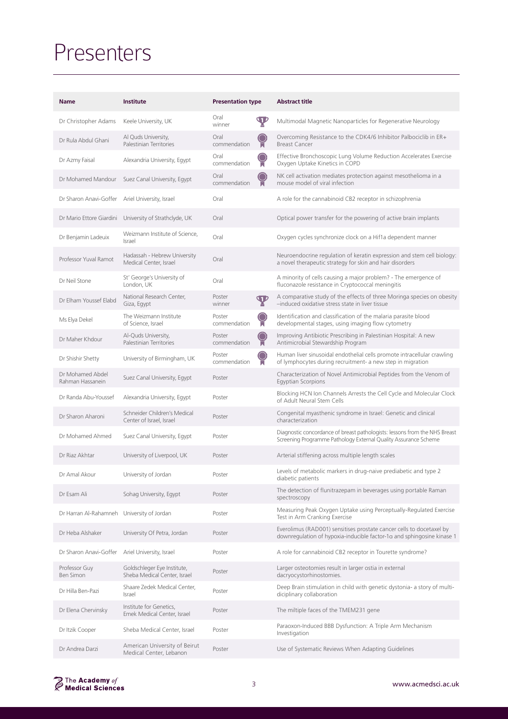## Presenters

| <b>Name</b>                                | Institute                                                   | <b>Presentation type</b> |                | <b>Abstract title</b>                                                                                                                          |
|--------------------------------------------|-------------------------------------------------------------|--------------------------|----------------|------------------------------------------------------------------------------------------------------------------------------------------------|
| Dr Christopher Adams                       | Keele University, UK                                        | Oral<br>winner           | $\mathbf \Psi$ | Multimodal Magnetic Nanoparticles for Regenerative Neurology                                                                                   |
| Dr Rula Abdul Ghani                        | Al Quds University,<br>Palestinian Territories              | Oral<br>commendation     |                | Overcoming Resistance to the CDK4/6 Inhibitor Palbociclib in ER+<br><b>Breast Cancer</b>                                                       |
| Dr Azmy Faisal                             | Alexandria University, Egypt                                | Oral<br>commendation     |                | Effective Bronchoscopic Lung Volume Reduction Accelerates Exercise<br>Oxygen Uptake Kinetics in COPD                                           |
| Dr Mohamed Mandour                         | Suez Canal University, Egypt                                | Oral<br>commendation     |                | NK cell activation mediates protection against mesothelioma in a<br>mouse model of viral infection                                             |
| Dr Sharon Anavi-Goffer                     | Ariel University, Israel                                    | Oral                     |                | A role for the cannabinoid CB2 receptor in schizophrenia                                                                                       |
| Dr Mario Ettore Giardini                   | University of Strathclyde, UK                               | Oral                     |                | Optical power transfer for the powering of active brain implants                                                                               |
| Dr Benjamin Ladeuix                        | Weizmann Institute of Science,<br>Israel                    | Oral                     |                | Oxygen cycles synchronize clock on a Hif1a dependent manner                                                                                    |
| Professor Yuval Ramot                      | Hadassah - Hebrew University<br>Medical Center, Israel      | Oral                     |                | Neuroendocrine regulation of keratin expression and stem cell biology:<br>a novel therapeutic strategy for skin and hair disorders             |
| Dr Neil Stone                              | St' George's University of<br>London, UK                    | Oral                     |                | A minority of cells causing a major problem? - The emergence of<br>fluconazole resistance in Cryptococcal meningitis                           |
| Dr Elham Youssef Elabd                     | National Research Center,<br>Giza, Egypt                    | Poster<br>winner         | $\mathbf \Psi$ | A comparative study of the effects of three Moringa species on obesity<br>-induced oxidative stress state in liver tissue                      |
| Ms Elya Dekel                              | The Weizmann Institute<br>of Science, Israel                | Poster<br>commendation   |                | Identification and classification of the malaria parasite blood<br>developmental stages, using imaging flow cytometry                          |
| Dr Maher Khdour                            | Al-Quds University,<br>Palestinian Territories              | Poster<br>commendation   | O<br>M         | Improving Antibiotic Prescribing in Palestinian Hospital: A new<br>Antimicrobial Stewardship Program                                           |
| Dr Shishir Shetty                          | University of Birmingham, UK                                | Poster<br>commendation   |                | Human liver sinusoidal endothelial cells promote intracellular crawling<br>of lymphocytes during recruitment- a new step in migration          |
| Dr Mohamed Abdel<br>Rahman Hassanein       | Suez Canal University, Egypt                                | Poster                   |                | Characterization of Novel Antimicrobial Peptides from the Venom of<br><b>Egyptian Scorpions</b>                                                |
| Dr Randa Abu-Youssef                       | Alexandria University, Egypt                                | Poster                   |                | Blocking HCN Ion Channels Arrests the Cell Cycle and Molecular Clock<br>of Adult Neural Stem Cells                                             |
| Dr Sharon Aharoni                          | Schneider Children's Medical<br>Center of Israel, Israel    | Poster                   |                | Congenital myasthenic syndrome in Israel: Genetic and clinical<br>characterization                                                             |
| Dr Mohamed Ahmed                           | Suez Canal University, Egypt                                | Poster                   |                | Diagnostic concordance of breast pathologists: lessons from the NHS Breast<br>Screening Programme Pathology External Quality Assurance Scheme  |
| Dr Riaz Akhtar                             | University of Liverpool, UK                                 | Poster                   |                | Arterial stiffening across multiple length scales                                                                                              |
| Dr Amal Akour                              | University of Jordan                                        | Poster                   |                | Levels of metabolic markers in drug-naive prediabetic and type 2<br>diabetic patients                                                          |
| Dr Esam Ali                                | Sohag University, Egypt                                     | Poster                   |                | The detection of flunitrazepam in beverages using portable Raman<br>spectroscopy                                                               |
| Dr Harran Al-Rahamneh University of Jordan |                                                             | Poster                   |                | Measuring Peak Oxygen Uptake using Perceptually-Regulated Exercise<br>Test in Arm Cranking Exercise                                            |
| Dr Heba Alshaker                           | University Of Petra, Jordan                                 | Poster                   |                | Everolimus (RAD001) sensitises prostate cancer cells to docetaxel by<br>downregulation of hypoxia-inducible factor-1a and sphingosine kinase 1 |
| Dr Sharon Anavi-Goffer                     | Ariel University, Israel                                    | Poster                   |                | A role for cannabinoid CB2 receptor in Tourette syndrome?                                                                                      |
| Professor Guy<br>Ben Simon                 | Goldschleger Eye Institute,<br>Sheba Medical Center, Israel | Poster                   |                | Larger osteotomies result in larger ostia in external<br>dacryocystorhinostomies.                                                              |
| Dr Hilla Ben-Pazi                          | Shaare Zedek Medical Center,<br>Israel                      | Poster                   |                | Deep Brain stimulation in child with genetic dystonia- a story of multi-<br>diciplinary collaboration                                          |
| Dr Elena Chervinsky                        | Institute for Genetics,<br>Emek Medical Center, Israel      | Poster                   |                | The miltiple faces of the TMEM231 gene                                                                                                         |
| Dr Itzik Cooper                            | Sheba Medical Center, Israel                                | Poster                   |                | Paraoxon-Induced BBB Dysfunction: A Triple Arm Mechanism<br>Investigation                                                                      |
| Dr Andrea Darzi                            | American University of Beirut<br>Medical Center, Lebanon    | Poster                   |                | Use of Systematic Reviews When Adapting Guidelines                                                                                             |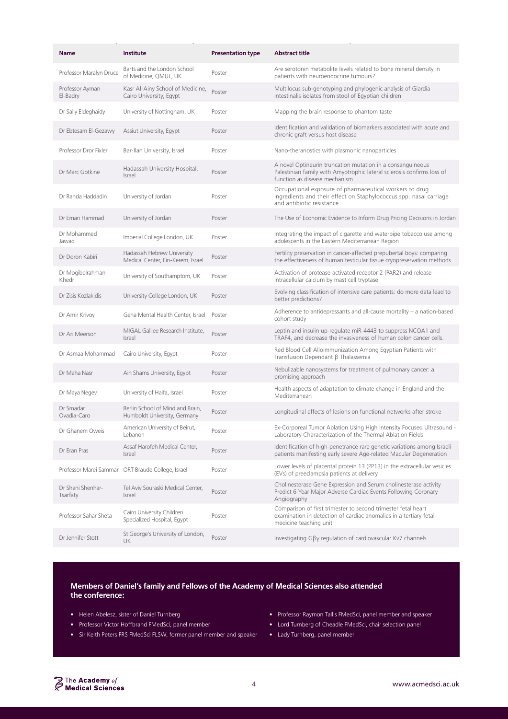| <b>Name</b>                   | Institute                                                        | <b>Presentation type</b> | <b>Abstract title</b>                                                                                                                                                 |
|-------------------------------|------------------------------------------------------------------|--------------------------|-----------------------------------------------------------------------------------------------------------------------------------------------------------------------|
| Professor Maralyn Druce       | Barts and the London School<br>of Medicine, QMUL, UK             | Poster                   | Are serotonin metabolite levels related to bone mineral density in<br>patients with neuroendocrine tumours?                                                           |
| Professor Ayman<br>El-Badry   | Kasr Al-Ainy School of Medicine,<br>Cairo University, Egypt      | Poster                   | Multilocus sub-genotyping and phylogenic analysis of Giardia<br>intestinalis isolates from stool of Egyptian children                                                 |
| Dr Sally Eldeghaidy           | University of Nottingham, UK                                     | Poster                   | Mapping the brain response to phantom taste                                                                                                                           |
| Dr Ebtesam El-Gezawy          | Assiut University, Egypt                                         | Poster                   | Identification and validation of biomarkers associated with acute and<br>chronic graft versus host disease                                                            |
| Professor Dror Fixler         | Bar-Ilan University, Israel                                      | Poster                   | Nano-theranostics with plasmonic nanoparticles                                                                                                                        |
| Dr Marc Gotkine               | Hadassah University Hospital,<br>Israel                          | Poster                   | A novel Optineurin truncation mutation in a consanguineous<br>Palestinian family with Amyotrophic lateral sclerosis confirms loss of<br>function as disease mechanism |
| Dr Randa Haddadin             | University of Jordan                                             | Poster                   | Occupational exposure of pharmaceutical workers to drug<br>ingredients and their effect on Staphylococcus spp. nasal carriage<br>and antibiotic resistance            |
| Dr Eman Hammad                | University of Jordan                                             | Poster                   | The Use of Economic Evidence to Inform Drug Pricing Decisions in Jordan                                                                                               |
| Dr Mohammed<br>Jawad          | Imperial College London, UK                                      | Poster                   | Integrating the impact of cigarette and waterpipe tobacco use among<br>adolescents in the Eastern Mediterranean Region                                                |
| Dr Doron Kabiri               | Hadassah Hebrew University<br>Medical Center, Ein-Kerem, Israel  | Poster                   | Fertility preservation in cancer-affected prepubertal boys: comparing<br>the effectiveness of human testicular tissue cryopreservation methods                        |
| Dr Mogibelrahman<br>Khedr     | University of Southamptom, UK                                    | Poster                   | Activation of protease-activated receptor 2 (PAR2) and release<br>intracellular calcium by mast cell tryptase                                                         |
| Dr Zisis Kozlakidis           | University College London, UK                                    | Poster                   | Evolving classification of intensive care patients: do more data lead to<br>better predictions?                                                                       |
| Dr Amir Krivoy                | Geha Mental Health Center, Israel                                | Poster                   | Adherence to antidepressants and all-cause mortality - a nation-based<br>cohort study                                                                                 |
| Dr Ari Meerson                | MIGAL Galilee Research Institute,<br>Israel                      | Poster                   | Leptin and insulin up-regulate miR-4443 to suppress NCOA1 and<br>TRAF4, and decrease the invasiveness of human colon cancer cells.                                    |
| Dr Asmaa Mohammad             | Cairo University, Egypt                                          | Poster                   | Red Blood Cell Alloimmunization Among Egyptian Patients with<br>Transfusion Dependant ß Thalassemia                                                                   |
| Dr Maha Nasr                  | Ain Shams University, Egypt                                      | Poster                   | Nebulizable nanosystems for treatment of pulmonary cancer: a<br>promising approach                                                                                    |
| Dr Maya Negev                 | University of Haifa, Israel                                      | Poster                   | Health aspects of adaptation to climate change in England and the<br>Mediterranean                                                                                    |
| Dr Smadar<br>Ovadia-Caro      | Berlin School of Mind and Brain,<br>Humboldt University, Germany | Poster                   | Longitudinal effects of lesions on functional networks after stroke                                                                                                   |
| Dr Ghanem Oweis               | American University of Beirut,<br>Lebanon                        | Poster                   | Ex-Corporeal Tumor Ablation Using High Intensity Focused Ultrasound -<br>Laboratory Characterization of the Thermal Ablation Fields                                   |
| Dr Eran Pras                  | Assaf Harofeh Medical Center.<br><b>Israel</b>                   | Poster                   | Identification of high-penetrance rare genetic variations among Israeli<br>patients manifesting early severe Age-related Macular Degeneration                         |
|                               | Professor Marei Sammar ORT Braude College, Israel                | Poster                   | Lower levels of placental protein 13 (PP13) in the extracellular vesicles<br>(EVs) of preeclampsia patients at delivery                                               |
| Dr Shani Shenhar-<br>Tsarfaty | Tel Aviv Souraski Medical Center,<br><i>Israel</i>               | Poster                   | Cholinesterase Gene Expression and Serum cholinesterase activity<br>Predict 6 Year Major Adverse Cardiac Events Following Coronary<br>Angiography                     |
| Professor Sahar Sheta         | Cairo University Children<br>Specialized Hospital, Egypt         | Poster                   | Comparison of first trimester to second trimester fetal heart<br>examination in detection of cardiac anomalies in a tertiary fetal<br>medicine teaching unit          |
| Dr Jennifer Stott             | St George's University of London,<br><b>UK</b>                   | Poster                   | Investigating Gβγ regulation of cardiovascular Kv7 channels                                                                                                           |

#### **Members of Daniel's family and Fellows of the Academy of Medical Sciences also attended the conference:**

- Helen Abelesz, sister of Daniel Turnberg
- Professor Victor Hoffbrand FMedSci, panel member
- Sir Keith Peters FRS FMedSci FLSW, former panel member and speaker
- Professor Raymon Tallis FMedSci, panel member and speaker
- Lord Turnberg of Cheadle FMedSci, chair selection panel
- Lady Turnberg, panel member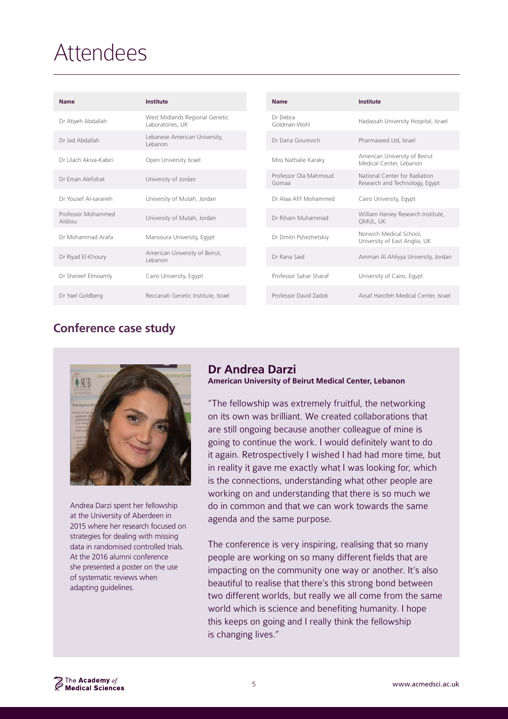## **Attendees**

| <b>Name</b>                  | Institute                                          | <b>Name</b>                    | Institute                                                       |
|------------------------------|----------------------------------------------------|--------------------------------|-----------------------------------------------------------------|
| Dr Atiyeh Abdallah           | West Midlands Regional Genetic<br>Laboratories, UK | Dr Debra<br>Goldman-Wohl       | Hadassah University Hospital, Israel                            |
| Dr Jad Abdallah              | Lebanese American University,<br>Lebanon           | Dr Dana Gourevich              | Pharmaseed Ltd, Israel                                          |
| Dr Lilach Akiva-Kabiri       | Open University Israel                             | Miss Nathalie Karaky           | American University of Beirut<br>Medical Center, Lebanon        |
| Dr Eman Alefishat            | University of Jordan                               | Professor Ola Mahmoud<br>Gomaa | National Center for Radiation<br>Research and Technology, Egypt |
| Dr Yousef Al-saraireh        | University of Mutah, Jordan                        | Dr Alaa Afif Mohammed          | Cairo University, Egypt                                         |
| Professor Mohammed<br>Alsbou | University of Mutah, Jordan                        | Dr Riham Muhammad              | William Harvey Research Institute,<br>QMUL, UK                  |
| Dr Mohammad Arafa            | Mansoura University, Egypt                         | Dr Dmitri Pshezhetskiy         | Norwich Medical School.<br>University of East Anglia, UK        |
| Dr Riyad El-Khoury           | American University of Beirut,<br>Lebanon          | Dr Rana Said                   | Amman Al Ahliyya University, Jordan                             |
| Dr Shereef Elmoamly          | Cairo University, Egypt                            | Professor Sahar Sharaf         | University of Cairo, Egypt                                      |
| Dr Yael Goldberg             | Reccanati Genetic Institute, Israel                | Professor David Zadok          | Assaf Harofeh Medical Center, Israel                            |

### **Conference case study**



Andrea Darzi spent her fellowship at the University of Aberdeen in 2015 where her research focused on strategies for dealing with missing data in randomised controlled trials. At the 2016 alumni conference she presented a poster on the use of systematic reviews when adapting guidelines.

## **Dr Andrea Darzi**

**American University of Beirut Medical Center, Lebanon** 

"The fellowship was extremely fruitful, the networking on its own was brilliant. We created collaborations that are still ongoing because another colleague of mine is going to continue the work. I would definitely want to do it again. Retrospectively I wished I had had more time, but in reality it gave me exactly what I was looking for, which is the connections, understanding what other people are working on and understanding that there is so much we do in common and that we can work towards the same agenda and the same purpose.

The conference is very inspiring, realising that so many people are working on so many different fields that are impacting on the community one way or another. It's also beautiful to realise that there's this strong bond between two different worlds, but really we all come from the same world which is science and benefiting humanity. I hope this keeps on going and I really think the fellowship is changing lives."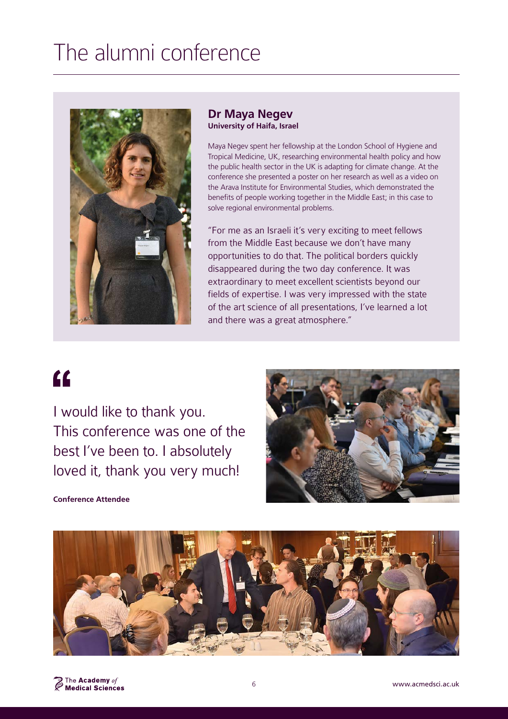## The alumni conference



#### **Dr Maya Negev University of Haifa, Israel**

Maya Negev spent her fellowship at the London School of Hygiene and Tropical Medicine, UK, researching environmental health policy and how the public health sector in the UK is adapting for climate change. At the conference she presented a poster on her research as well as a video on the Arava Institute for Environmental Studies, which demonstrated the benefits of people working together in the Middle East; in this case to solve regional environmental problems.

"For me as an Israeli it's very exciting to meet fellows from the Middle East because we don't have many opportunities to do that. The political borders quickly disappeared during the two day conference. It was extraordinary to meet excellent scientists beyond our fields of expertise. I was very impressed with the state of the art science of all presentations, I've learned a lot and there was a great atmosphere."

# $\epsilon$

I would like to thank you. This conference was one of the best I've been to. I absolutely loved it, thank you very much!



#### **Conference Attendee**

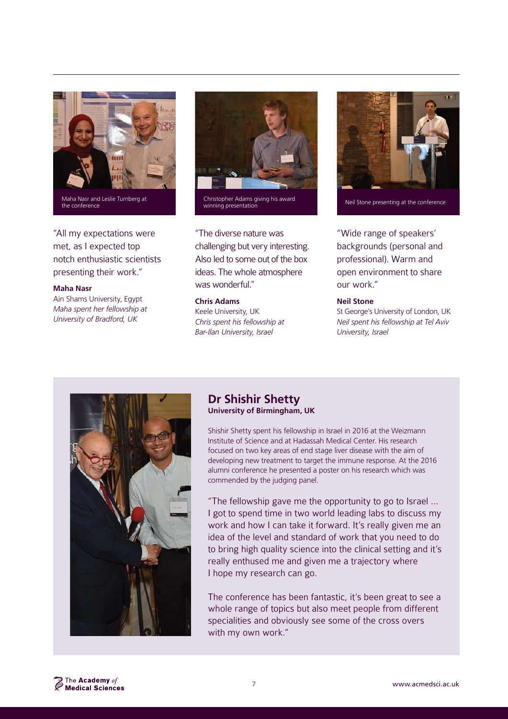

Maha Nasr and Leslie Turnberg at the conference

"All my expectations were met, as I expected top notch enthusiastic scientists presenting their work."

#### **Maha Nasr**

Ain Shams University, Egypt *Maha spent her fellowship at University of Bradford, UK*



Christopher Adams giving his award Unristopher Adams giving his award<br>Winning presentation Neil Stone presenting at the conference

"The diverse nature was challenging but very interesting. Also led to some out of the box ideas. The whole atmosphere was wonderful."

#### **Chris Adams**

Keele University, UK *Chris spent his fellowship at Bar-Ilan University, Israel*



"Wide range of speakers' backgrounds (personal and professional). Warm and open environment to share our work."

#### **Neil Stone**

St George's University of London, UK *Neil spent his fellowship at Tel Aviv University, Israel*



#### **Dr Shishir Shetty University of Birmingham, UK**

Shishir Shetty spent his fellowship in Israel in 2016 at the Weizmann Institute of Science and at Hadassah Medical Center. His research focused on two key areas of end stage liver disease with the aim of developing new treatment to target the immune response. At the 2016 alumni conference he presented a poster on his research which was commended by the judging panel.

"The fellowship gave me the opportunity to go to Israel … I got to spend time in two world leading labs to discuss my work and how I can take it forward. It's really given me an idea of the level and standard of work that you need to do to bring high quality science into the clinical setting and it's really enthused me and given me a trajectory where I hope my research can go.

The conference has been fantastic, it's been great to see a whole range of topics but also meet people from different specialities and obviously see some of the cross overs with my own work."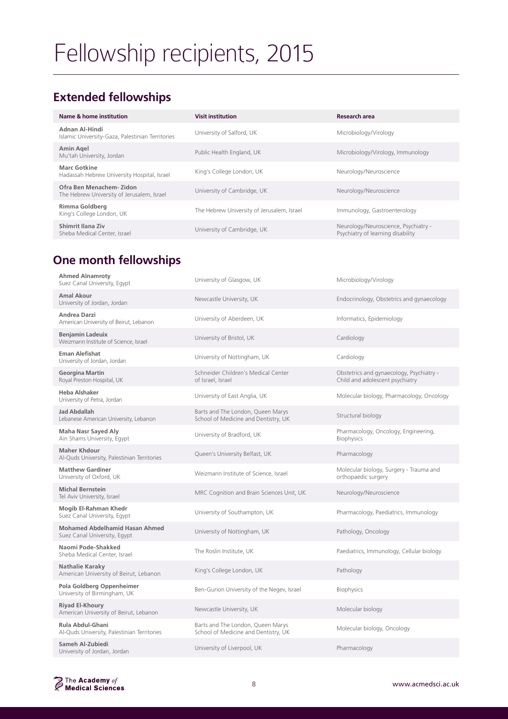# Fellowship recipients, 2015

### **Extended fellowships**

| Name & home institution                                               | <b>Visit institution</b>                   | <b>Research area</b>                                                      |
|-----------------------------------------------------------------------|--------------------------------------------|---------------------------------------------------------------------------|
| Adnan Al-Hindi<br>Islamic University-Gaza, Palestinian Territories    | University of Salford, UK                  | Microbiology/Virology                                                     |
| Amin Agel<br>Mu'tah University, Jordan                                | Public Health England, UK                  | Microbiology/Virology, Immunology                                         |
| <b>Marc Gotkine</b><br>Hadassah Hebrew University Hospital, Israel    | King's College London, UK                  | Neurology/Neuroscience                                                    |
| Ofra Ben Menachem-Zidon<br>The Hebrew University of Jerusalem, Israel | University of Cambridge, UK                | Neurology/Neuroscience                                                    |
| Rimma Goldberg<br>King's College London, UK                           | The Hebrew University of Jerusalem, Israel | Immunology, Gastroenterology                                              |
| Shimrit Ilana Ziv<br>Sheba Medical Center, Israel                     | University of Cambridge, UK                | Neurology/Neuroscience, Psychiatry -<br>Psychiatry of learning disability |

### **One month fellowships**

| <b>Ahmed Alnamroty</b><br>Suez Canal University, Egypt                | University of Glasgow, UK                                                 | Microbiology/Virology                                                       |
|-----------------------------------------------------------------------|---------------------------------------------------------------------------|-----------------------------------------------------------------------------|
| Amal Akour<br>University of Jordan, Jordan                            | Newcastle University, UK                                                  | Endocrinology, Obstetrics and gynaecology                                   |
| Andrea Darzi<br>American University of Beirut, Lebanon                | University of Aberdeen, UK                                                | Informatics, Epidemiology                                                   |
| <b>Benjamin Ladeuix</b><br>Weizmann Institute of Science, Israel      | University of Bristol, UK                                                 | Cardiology                                                                  |
| <b>Eman Alefishat</b><br>University of Jordan, Jordan                 | University of Nottingham, UK                                              | Cardiology                                                                  |
| <b>Georgina Martin</b><br>Royal Preston Hospital, UK                  | Schneider Children's Medical Center<br>of Israel, Israel                  | Obstetrics and gynaecology, Psychiatry -<br>Child and adolescent psychiatry |
| <b>Heba Alshaker</b><br>University of Petra, Jordan                   | University of East Anglia, UK                                             | Molecular biology, Pharmacology, Oncology                                   |
| <b>Jad Abdallah</b><br>Lebanese American University, Lebanon          | Barts and The London, Queen Marys<br>School of Medicine and Dentistry, UK | Structural biology                                                          |
| <b>Maha Nasr Sayed Aly</b><br>Ain Shams University, Egypt             | University of Bradford, UK                                                | Pharmacology, Oncology, Engineering,<br><b>Biophysics</b>                   |
| <b>Maher Khdour</b><br>Al-Quds University, Palestinian Territories    | Queen's University Belfast, UK                                            | Pharmacology                                                                |
| <b>Matthew Gardiner</b><br>University of Oxford, UK                   | Weizmann Institute of Science, Israel                                     | Molecular biology, Surgery - Trauma and<br>orthopaedic surgery              |
| <b>Michal Bernstein</b><br>Tel Aviv University, Israel                | MRC Cognition and Brain Sciences Unit, UK                                 | Neurology/Neuroscience                                                      |
| Mogib El-Rahman Khedr<br>Suez Canal University, Egypt                 | University of Southampton, UK                                             | Pharmacology, Paediatrics, Immunology                                       |
| <b>Mohamed Abdelhamid Hasan Ahmed</b><br>Suez Canal University, Egypt | University of Nottingham, UK                                              | Pathology, Oncology                                                         |
| Naomi Pode-Shakked<br>Sheba Medical Center, Israel                    | The Roslin Institute, UK                                                  | Paediatrics, Immunology, Cellular biology                                   |
| <b>Nathalie Karaky</b><br>American University of Beirut, Lebanon      | King's College London, UK                                                 | Pathology                                                                   |
| Pola Goldberg Oppenheimer<br>University of Birmingham, UK             | Ben-Gurion University of the Negev, Israel                                | <b>Biophysics</b>                                                           |
| <b>Rivad El-Khoury</b><br>American University of Beirut, Lebanon      | Newcastle University, UK                                                  | Molecular biology                                                           |
| Rula Abdul-Ghani<br>Al-Quds University, Palestinian Territories       | Barts and The London, Queen Marys<br>School of Medicine and Dentistry, UK | Molecular biology, Oncology                                                 |
| Sameh Al-Zubiedi<br>University of Jordan, Jordan                      | University of Liverpool, UK                                               | Pharmacology                                                                |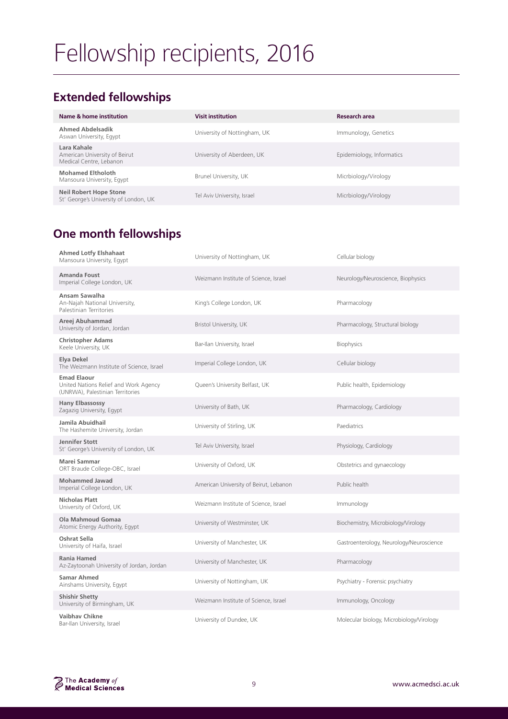# Fellowship recipients, 2016

### **Extended fellowships**

| Name & home institution                                                 | <b>Visit institution</b>     | Research area             |
|-------------------------------------------------------------------------|------------------------------|---------------------------|
| <b>Ahmed Abdelsadik</b><br>Aswan University, Egypt                      | University of Nottingham, UK | Immunology, Genetics      |
| Lara Kahale<br>American University of Beirut<br>Medical Centre, Lebanon | University of Aberdeen, UK   | Epidemiology, Informatics |
| <b>Mohamed Eltholoth</b><br>Mansoura University, Egypt                  | Brunel University, UK        | Micrbiology/Virology      |
| <b>Neil Robert Hope Stone</b><br>St' George's University of London, UK  | Tel Aviv University, Israel  | Micrbiology/Virology      |

### **One month fellowships**

| <b>Ahmed Lotfy Elshahaat</b><br>Mansoura University, Egypt                                      | University of Nottingham, UK           | Cellular biology                         |
|-------------------------------------------------------------------------------------------------|----------------------------------------|------------------------------------------|
| Amanda Foust<br>Imperial College London, UK                                                     | Weizmann Institute of Science, Israel  | Neurology/Neuroscience, Biophysics       |
| Ansam Sawalha<br>An-Najah National University,<br>Palestinian Territories                       | King's College London, UK              | Pharmacology                             |
| Areej Abuhammad<br>University of Jordan, Jordan                                                 | Bristol University, UK                 | Pharmacology, Structural biology         |
| <b>Christopher Adams</b><br>Keele University, UK                                                | Bar-Ilan University, Israel            | <b>Biophysics</b>                        |
| Elya Dekel<br>The Weizmann Institute of Science, Israel                                         | Imperial College London, UK            | Cellular biology                         |
| <b>Emad Elaour</b><br>United Nations Relief and Work Agency<br>(UNRWA), Palestinian Territories | Queen's University Belfast, UK         | Public health, Epidemiology              |
| Hany Elbassossy<br>Zagazig University, Egypt                                                    | University of Bath, UK                 | Pharmacology, Cardiology                 |
| Jamila Abuidhail<br>The Hashemite University, Jordan                                            | University of Stirling, UK             | Paediatrics                              |
| Jennifer Stott<br>St' George's University of London, UK                                         | Tel Aviv University, Israel            | Physiology, Cardiology                   |
| Marei Sammar<br>ORT Braude College-OBC, Israel                                                  | University of Oxford, UK               | Obstetrics and gynaecology               |
| <b>Mohammed Jawad</b><br>Imperial College London, UK                                            | American University of Beirut, Lebanon | Public health                            |
| <b>Nicholas Platt</b><br>University of Oxford, UK                                               | Weizmann Institute of Science, Israel  | Immunology                               |
| Ola Mahmoud Gomaa<br>Atomic Energy Authority, Egypt                                             | University of Westminster, UK          | Biochemistry, Microbiology/Virology      |
| <b>Oshrat Sella</b><br>University of Haifa, Israel                                              | University of Manchester, UK           | Gastroenterology, Neurology/Neuroscience |
| <b>Rania Hamed</b><br>Az-Zaytoonah University of Jordan, Jordan                                 | University of Manchester, UK           | Pharmacology                             |
| <b>Samar Ahmed</b><br>Ainshams University, Egypt                                                | University of Nottingham, UK           | Psychiatry - Forensic psychiatry         |
| <b>Shishir Shetty</b><br>University of Birmingham, UK                                           | Weizmann Institute of Science, Israel  | Immunology, Oncology                     |
| <b>Vaibhav Chikne</b><br>Bar-Ilan University, Israel                                            | University of Dundee, UK               | Molecular biology, Microbiology/Virology |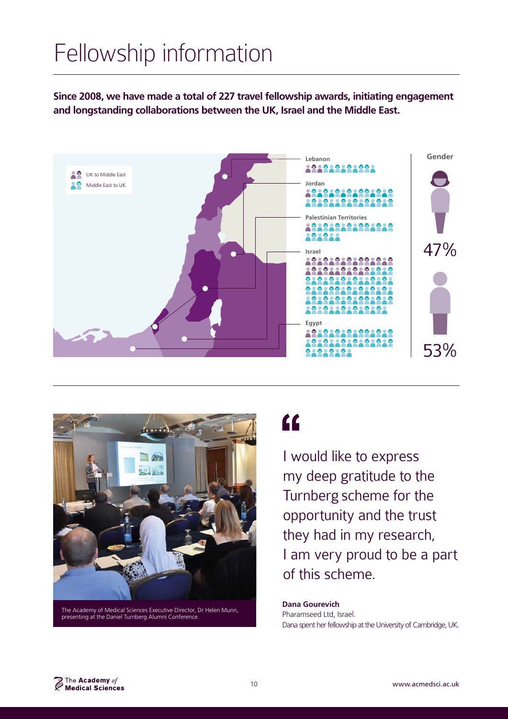# Fellowship information

**Since 2008, we have made a total of 227 travel fellowship awards, initiating engagement and longstanding collaborations between the UK, Israel and the Middle East.**





The Academy of Medical Sciences Executive Director, Dr Helen Munn, presenting at the Daniel Turnberg Alumni Conference.

## $\epsilon$

I would like to express my deep gratitude to the Turnberg scheme for the opportunity and the trust they had in my research, I am very proud to be a part of this scheme.

**Dana Gourevich** Pharamseed Ltd, Israel. Dana spent her fellowship at the University of Cambridge, UK.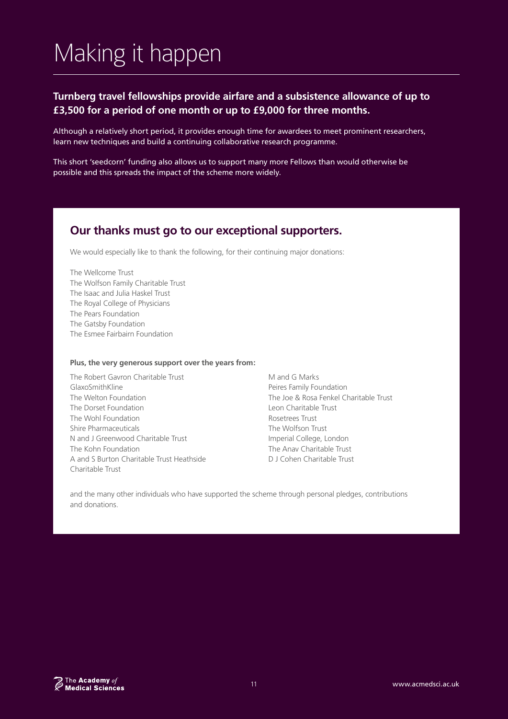# Making it happen

#### **Turnberg travel fellowships provide airfare and a subsistence allowance of up to £3,500 for a period of one month or up to £9,000 for three months.**

Although a relatively short period, it provides enough time for awardees to meet prominent researchers, learn new techniques and build a continuing collaborative research programme.

This short 'seedcorn' funding also allows us to support many more Fellows than would otherwise be possible and this spreads the impact of the scheme more widely.

#### **Our thanks must go to our exceptional supporters.**

We would especially like to thank the following, for their continuing major donations:

The Wellcome Trust The Wolfson Family Charitable Trust The Isaac and Julia Haskel Trust The Royal College of Physicians The Pears Foundation The Gatsby Foundation The Esmee Fairbairn Foundation

#### **Plus, the very generous support over the years from:**

- The Robert Gavron Charitable Trust GlaxoSmithKline The Welton Foundation The Dorset Foundation The Wohl Foundation Shire Pharmaceuticals N and J Greenwood Charitable Trust The Kohn Foundation A and S Burton Charitable Trust Heathside Charitable Trust
- M and G Marks Peires Family Foundation The Joe & Rosa Fenkel Charitable Trust Leon Charitable Trust Rosetrees Trust The Wolfson Trust Imperial College, London The Anav Charitable Trust D J Cohen Charitable Trust

and the many other individuals who have supported the scheme through personal pledges, contributions and donations.